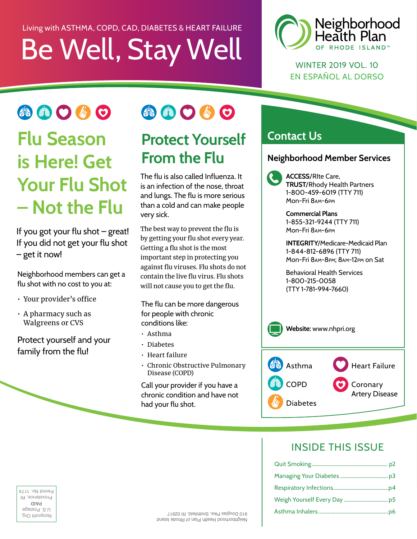## Be Well, Stay Well Living with ASTHMA, COPD, CAD, DIABETES & HEART FAILURE



WINTER 2019 VOL. 10 EN ESPAÑOL AL DORSO

小曲〇岁〇 **Flu Season is Here! Get Your Flu Shot – Not the Flu** 

If you got your flu shot – great! If you did not get your flu shot – get it now!

Neighborhood members can get a flu shot with no cost to you at:

- Your provider's office
- A pharmacy such as Walgreens or CVS

Protect yourself and your family from the flu!



### **Protect Yourself From the Flu**

The flu is also called Influenza. It is an infection of the nose, throat and lungs. The flu is more serious than a cold and can make people very sick.

The best way to prevent the flu is by getting your flu shot every year. Getting a flu shot is the most important step in protecting you against fu viruses. Flu shots do not contain the live flu virus. Flu shots will not cause you to get the fu.

The flu can be more dangerous for people with chronic conditions like:

- Asthma
- Diabetes
- Heart failure
- Chronic Obstructive Pulmonary Disease (COPD)

Call your provider if you have a chronic condition and have not had your flu shot.

#### **Contact Us**

#### **Neighborhood Member Services**

**ACCESS**/RIte Care, **TRUST**/Rhody Health Partners 1-800-459-6019 (TTY 711) Mon-Fri 8AM-6PM

**Commercial Plans**  1-855-321-9244 (TTY 711) Mon-Fri 8AM-6PM

**INTEGRITY**/Medicare-Medicaid Plan 1-844-812-6896 (TTY 711) Mon-Fri 8AM-8PM; 8AM-12PM on Sat

Behavioral Health Services 1-800-215-0058 (TTY 1-781-994-7660)



#### INSIDE THIS ISSUE

PAD titlong on<br>operaced<br>on and one<br>of a construction **PAID** Providence, RI Permit No. 1174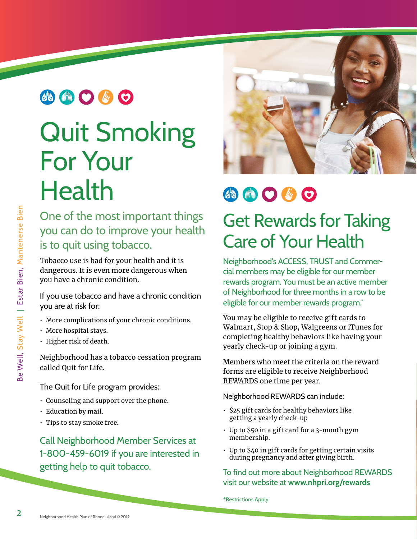### 小曲〇步〇

## Quit Smoking For Your **Health**

One of the most important things you can do to improve your health is to quit using tobacco.

Tobacco use is bad for your health and it is dangerous. It is even more dangerous when you have a chronic condition.

If you use tobacco and have a chronic condition you are at risk for:

- More complications of your chronic conditions.
- More hospital stays.
- Higher risk of death.

Neighborhood has a tobacco cessation program called Quit for Life.

#### The Quit for Life program provides:

- Counseling and support over the phone.
- Education by mail.
- Tips to stay smoke free.

Call Neighborhood Member Services at 1-800-459-6019 if you are interested in getting help to quit tobacco.



## 小曲〇必〇

## Get Rewards for Taking Care of Your Health

Neighborhood's ACCESS, TRUST and Commercial members may be eligible for our member rewards program. You must be an active member of Neighborhood for three months in a row to be eligible for our member rewards program.<sup>\*</sup>

You may be eligible to receive gift cards to Walmart, Stop & Shop, Walgreens or iTunes for completing healthy behaviors like having your yearly check-up or joining a gym.

Members who meet the criteria on the reward forms are eligible to receive Neighborhood REWARDS one time per year.

Neighborhood REWARDS can include:

- \$25 gift cards for healthy behaviors like getting a yearly check-up
- Up to \$50 in a gift card for a 3-month gym membership.
- Up to \$40 in gift cards for getting certain visits during pregnancy and after giving birth.

#### To find out more about Neighborhood REWARDS visit our website at **[www.nhpri.org/rewards](http://www.nhpri.org/rewards)**

\*Restrictions Apply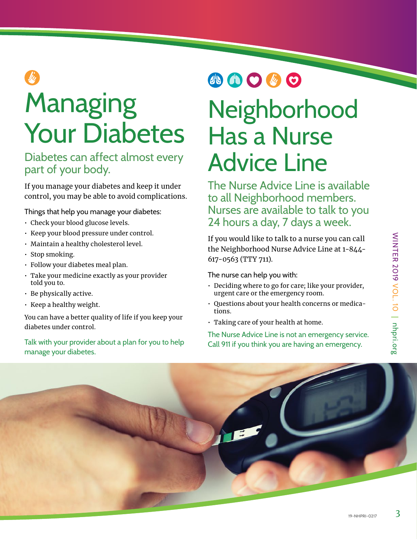# Managing Your Diabetes

#### Diabetes can affect almost every part of your body.

If you manage your diabetes and keep it under control, you may be able to avoid complications.

Things that help you manage your diabetes:

- Check your blood glucose levels.
- Keep your blood pressure under control.
- Maintain a healthy cholesterol level.
- Stop smoking.
- Follow your diabetes meal plan.
- Take your medicine exactly as your provider told you to.
- Be physically active.
- Keep a healthy weight.

You can have a better quality of life if you keep your diabetes under control.

Talk with your provider about a plan for you to help manage your diabetes.

## 小曲〇步〇

## Neighborhood Has a Nurse Advice Line

The Nurse Advice Line is available to all Neighborhood members. Nurses are available to talk to you 24 hours a day, 7 days a week.

If you would like to talk to a nurse you can call the Neighborhood Nurse Advice Line at 1-844 - 617-0563 (TTY 711).

The nurse can help you with:

- Deciding where to go for care; like your provider, urgent care or the emergency room.
- Questions about your health concerns or medications.
- Taking care of your health at home.

The Nurse Advice Line is not an emergency service. Call 911 if you think you are having an emergency.

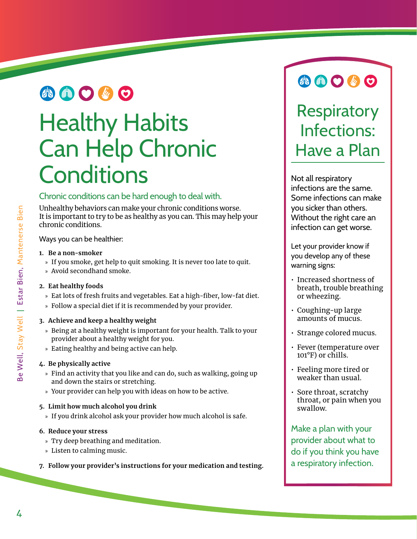### 小曲〇必〇

## Healthy Habits Can Help Chronic **Conditions**

#### Chronic conditions can be hard enough to deal with.

Unhealthy behaviors can make your chronic conditions worse. It is important to try to be as healthy as you can. This may help your chronic conditions.

Ways you can be healthier:

#### **1. Be a non-smoker**

- » If you smoke, get help to quit smoking. It is never too late to quit.
- » Avoid secondhand smoke.

#### **2. Eat healthy foods**

- » Eat lots of fresh fruits and vegetables. Eat a high-fiber, low-fat diet.
- » Follow a special diet if it is recommended by your provider.

#### **3. Achieve and keep a healthy weight**

- » Being at a healthy weight is important for your health. Talk to your provider about a healthy weight for you.
- » Eating healthy and being active can help.

#### **4. Be physically active**

- » Find an activity that you like and can do, such as walking, going up and down the stairs or stretching.
- » Your provider can help you with ideas on how to be active.

#### **5. Limit how much alcohol you drink**

» If you drink alcohol ask your provider how much alcohol is safe.

#### **6. Reduce your stress**

- » Try deep breathing and meditation.
- » Listen to calming music.
- **7. Follow your provider's instructions for your medication and testing.**

## e 0000

## **Respiratory** Infections: Have a Plan

Not all respiratory infections are the same. Some infections can make you sicker than others. Without the right care an infection can get worse. ............

Let your provider know if you develop any of these warning signs:

- Increased shortness of breath, trouble breathing or wheezing.
- Coughing-up large amounts of mucus.
- Strange colored mucus.
- Fever (temperature over 101°F) or chills.
- Feeling more tired or weaker than usual.
- Sore throat, scratchy throat, or pain when you swallow.

Make a plan with your provider about what to do if you think you have a respiratory infection.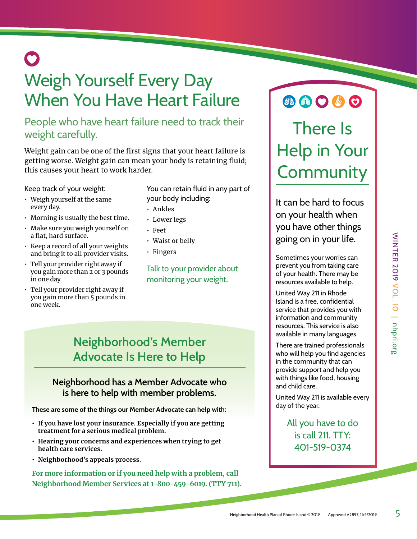## 0

## Weigh Yourself Every Day When You Have Heart Failure

#### People who have heart failure need to track their weight carefully.

Weight gain can be one of the first signs that your heart failure is getting worse. Weight gain can mean your body is retaining fuid; this causes your heart to work harder.

Keep track of your weight:

- Weigh yourself at the same every day.
- Morning is usually the best time.
- Make sure you weigh yourself on a flat, hard surface.
- Keep a record of all your weights and bring it to all provider visits.
- Tell your provider right away if you gain more than 2 or 3 pounds in one day.
- Tell your provider right away if you gain more than 5 pounds in one week.
- You can retain fluid in any part of your body including:
- Ankles
- Lower legs
- Feet
- Waist or belly
- Fingers

Talk to your provider about monitoring your weight.

#### **Neighborhood's Member Advocate Is Here to Help**

#### **Neighborhood has a Member Advocate who is here to help with member problems.**

**These are some of the things our Member Advocate can help with:** 

- **If you have lost your insurance. Especially if you are getting treatment for a serious medical problem.**
- **Hearing your concerns and experiences when trying to get health care services.**
- **Neighborhood's appeals process.**

**For more information or if you need help with a problem, call Neighborhood Member Services at 1-800-459-6019. (TTY 711).** 

## **AOOOO**

## There Is Help in Your **Community**

It can be hard to focus on your health when you have other things going on in your life.

Sometimes your worries can prevent you from taking care of your health. There may be resources available to help.

United Way 211 in Rhode Island is a free, confidential service that provides you with information and community resources. This service is also available in many languages.

There are trained professionals who will help you find agencies in the community that can provide support and help you with things like food, housing and child care.

United Way 211 is available every day of the year.

> All you have to do is call 211. TTY: 401-519-0374